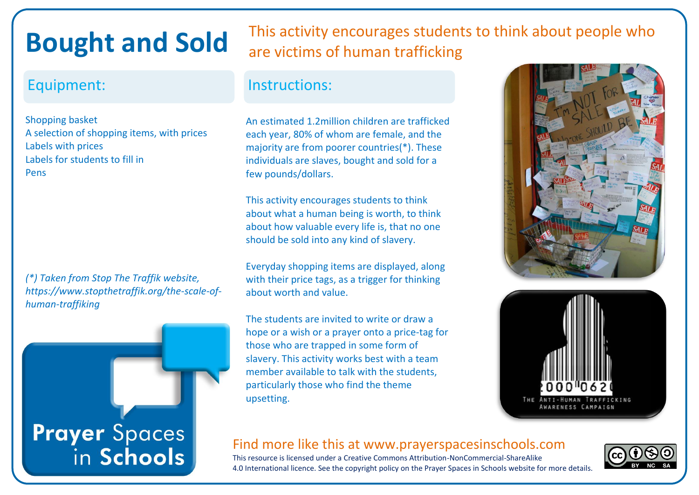## **Bought and Sold**

Shopping basket A selection of shopping items, with prices Labels with prices Labels for students to fill in Pens

*(\*) Taken from Stop The Traffik website, https://www.stopthetraffik.org/the-scale-ofhuman-traffiking*



This activity encourages students to think about people who are victims of human trafficking

#### Equipment: Instructions:

An estimated 1.2million children are trafficked each year, 80% of whom are female, and the majority are from poorer countries(\*). These individuals are slaves, bought and sold for a few pounds/dollars.

This activity encourages students to think about what a human being is worth, to think about how valuable every life is, that no one should be sold into any kind of slavery.

Everyday shopping items are displayed, along with their price tags, as a trigger for thinking about worth and value.

The students are invited to write or draw a hope or a wish or a prayer onto a price-tag for those who are trapped in some form of slavery. This activity works best with a team member available to talk with the students, particularly those who find the theme upsetting.





### Find more like this at www.prayerspacesinschools.com

This resource is licensed under a Creative Commons Attribution-NonCommercial-ShareAlike 4.0 International licence. See the copyright policy on the Prayer Spaces in Schools website for more details.